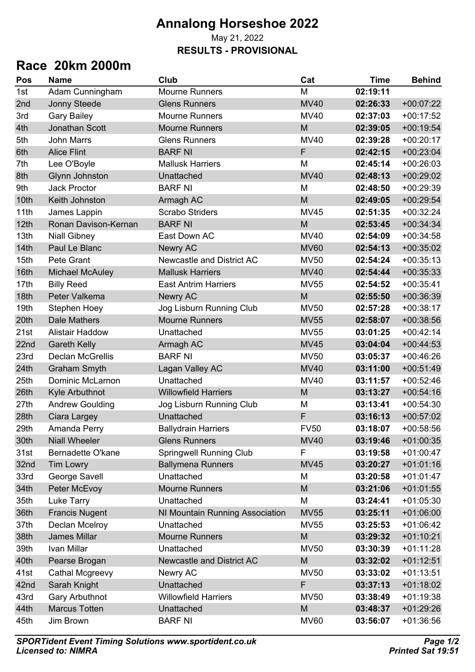## **Annalong Horseshoe 2022** May 21, 2022 **RESULTS - PROVISIONAL**

## **Race 20km 2000m**

| M<br>02:19:11<br>1st<br>Adam Cunningham<br><b>Mourne Runners</b><br><b>MV40</b><br><b>Jonny Steede</b><br><b>Glens Runners</b><br>02:26:33<br>$+00:07:22$<br>$+00:17:52$<br><b>Gary Bailey</b><br><b>Mourne Runners</b><br><b>MV40</b><br>02:37:03<br><b>Jonathan Scott</b><br>M<br><b>Mourne Runners</b><br>02:39:05<br>$+00:19:54$<br><b>Glens Runners</b><br><b>MV40</b><br>$+00:20:17$<br><b>John Marrs</b><br>02:39:28<br>F<br><b>BARF NI</b><br>$+00:23:04$<br><b>Alice Flint</b><br>02:42:15<br>M<br>$+00:26:03$<br>Lee O'Boyle<br><b>Mallusk Harriers</b><br>02:45:14<br><b>Glynn Johnston</b><br><b>MV40</b><br>Unattached<br>02:48:13<br>$+00:29:02$<br><b>Jack Proctor</b><br><b>BARF NI</b><br>M<br>$+00:29:39$<br>02:48:50<br>Keith Johnston<br>M<br>$+00:29:54$<br>02:49:05<br>Armagh AC<br>11th<br><b>Scrabo Striders</b><br>$+00:32:24$<br>James Lappin<br><b>MV45</b><br>02:51:35<br>Ronan Davison-Kernan<br>M<br>$+00:34:34$<br><b>BARF NI</b><br>02:53:45<br>13th<br><b>MV40</b><br>$+00:34:58$<br><b>Niall Gibney</b><br>East Down AC<br>02:54:09<br>Paul Le Blanc<br><b>Newry AC</b><br>$+00:35:02$<br><b>MV60</b><br>02:54:13<br>15th<br>Pete Grant<br>Newcastle and District AC<br>$+00:35:13$<br><b>MV50</b><br>02:54:24<br><b>MV40</b><br>$+00:35:33$<br><b>Michael McAuley</b><br><b>Mallusk Harriers</b><br>02:54:44<br><b>Billy Reed</b><br>$+00:35:41$<br>17th<br><b>East Antrim Harriers</b><br><b>MV55</b><br>02:54:52<br>Peter Valkema<br>M<br>$+00:36:39$<br><b>Newry AC</b><br>02:55:50<br>$+00:38:17$<br>19th<br><b>Stephen Hoey</b><br>Jog Lisburn Running Club<br><b>MV50</b><br>02:57:28<br><b>Dale Mathers</b><br><b>Mourne Runners</b><br>$+00:38:56$<br><b>MV55</b><br>02:58:07<br>$+00:42:14$<br><b>Alistair Haddow</b><br>Unattached<br><b>MV55</b><br>03:01:25<br>$+00:44:53$<br><b>Gareth Kelly</b><br><b>MV45</b><br>03:04:04<br>Armagh AC<br><b>Declan McGrellis</b><br>$+00:46:26$<br><b>BARF NI</b><br><b>MV50</b><br>03:05:37<br>$+00:51:49$<br><b>Graham Smyth</b><br>Lagan Valley AC<br><b>MV40</b><br>03:11:00<br><b>Dominic McLarnon</b><br>$+00:52:46$<br>Unattached<br><b>MV40</b><br>03:11:57<br><b>Willowfield Harriers</b><br>M<br>$+00:54:16$<br>Kyle Arbuthnot<br>03:13:27<br>Jog Lisburn Running Club<br>$+00:54:30$<br><b>Andrew Goulding</b><br>M<br>03:13:41<br>Unattached<br>F<br>$+00:57:02$<br>Ciara Largey<br>03:16:13<br>$+00:58:56$<br><b>FV50</b><br>Amanda Perry<br><b>Ballydrain Harriers</b><br>03:18:07<br><b>Niall Wheeler</b><br><b>MV40</b><br>03:19:46<br>$+01:00:35$<br><b>Glens Runners</b><br>F<br>$+01:00:47$<br>Bernadette O'kane<br><b>Springwell Running Club</b><br>03:19:58<br><b>Ballymena Runners</b><br><b>MV45</b><br>03:20:27<br>$+01:01:16$<br><b>Tim Lowry</b><br>33rd<br>George Savell<br>Unattached<br>03:20:58<br>$+01:01:47$<br>M<br>Peter McEvoy<br>M<br>$+01:01:55$<br><b>Mourne Runners</b><br>03:21:06<br>Luke Tarry<br>Unattached<br>M<br>$+01:05:30$<br>03:24:41<br>$+01:06:00$<br><b>Francis Nugent</b><br><b>MV55</b><br>03:25:11<br>NI Mountain Running Association<br>Declan Mcelroy<br>Unattached<br>$+01:06:42$<br><b>MV55</b><br>03:25:53<br><b>James Millar</b><br>M<br>$+01:10:21$<br><b>Mourne Runners</b><br>03:29:32<br>Ivan Millar<br><b>MV50</b><br>$+01:11:28$<br>Unattached<br>03:30:39<br>M<br>$+01:12:51$<br>Pearse Brogan<br>Newcastle and District AC<br>03:32:02<br>Newry AC<br><b>MV50</b><br>03:33:02<br>$+01:13:51$<br>Cathal Mcgreevy<br>Unattached<br>F<br>$+01:18:02$<br>Sarah Knight<br>03:37:13<br><b>Gary Arbuthnot</b><br><b>Willowfield Harriers</b><br><b>MV50</b><br>$+01:19:38$<br>03:38:49<br><b>Marcus Totten</b><br>Unattached<br>M<br>03:48:37<br>$+01:29:26$ | Pos  | <b>Name</b> | Club           | Cat         | <b>Time</b> | <b>Behind</b> |
|----------------------------------------------------------------------------------------------------------------------------------------------------------------------------------------------------------------------------------------------------------------------------------------------------------------------------------------------------------------------------------------------------------------------------------------------------------------------------------------------------------------------------------------------------------------------------------------------------------------------------------------------------------------------------------------------------------------------------------------------------------------------------------------------------------------------------------------------------------------------------------------------------------------------------------------------------------------------------------------------------------------------------------------------------------------------------------------------------------------------------------------------------------------------------------------------------------------------------------------------------------------------------------------------------------------------------------------------------------------------------------------------------------------------------------------------------------------------------------------------------------------------------------------------------------------------------------------------------------------------------------------------------------------------------------------------------------------------------------------------------------------------------------------------------------------------------------------------------------------------------------------------------------------------------------------------------------------------------------------------------------------------------------------------------------------------------------------------------------------------------------------------------------------------------------------------------------------------------------------------------------------------------------------------------------------------------------------------------------------------------------------------------------------------------------------------------------------------------------------------------------------------------------------------------------------------------------------------------------------------------------------------------------------------------------------------------------------------------------------------------------------------------------------------------------------------------------------------------------------------------------------------------------------------------------------------------------------------------------------------------------------------------------------------------------------------------------------------------------------------------------------------------------------------------------------------------------------------------------------------------------------------------------------------------------------------------------------------------------------------------------------------------------------------------------------------------------------------------------------------------------------------------------------------------------------------------------------------------------------------------------------------------------------------------------------------------------------|------|-------------|----------------|-------------|-------------|---------------|
|                                                                                                                                                                                                                                                                                                                                                                                                                                                                                                                                                                                                                                                                                                                                                                                                                                                                                                                                                                                                                                                                                                                                                                                                                                                                                                                                                                                                                                                                                                                                                                                                                                                                                                                                                                                                                                                                                                                                                                                                                                                                                                                                                                                                                                                                                                                                                                                                                                                                                                                                                                                                                                                                                                                                                                                                                                                                                                                                                                                                                                                                                                                                                                                                                                                                                                                                                                                                                                                                                                                                                                                                                                                                                                                |      |             |                |             |             |               |
|                                                                                                                                                                                                                                                                                                                                                                                                                                                                                                                                                                                                                                                                                                                                                                                                                                                                                                                                                                                                                                                                                                                                                                                                                                                                                                                                                                                                                                                                                                                                                                                                                                                                                                                                                                                                                                                                                                                                                                                                                                                                                                                                                                                                                                                                                                                                                                                                                                                                                                                                                                                                                                                                                                                                                                                                                                                                                                                                                                                                                                                                                                                                                                                                                                                                                                                                                                                                                                                                                                                                                                                                                                                                                                                | 2nd  |             |                |             |             |               |
|                                                                                                                                                                                                                                                                                                                                                                                                                                                                                                                                                                                                                                                                                                                                                                                                                                                                                                                                                                                                                                                                                                                                                                                                                                                                                                                                                                                                                                                                                                                                                                                                                                                                                                                                                                                                                                                                                                                                                                                                                                                                                                                                                                                                                                                                                                                                                                                                                                                                                                                                                                                                                                                                                                                                                                                                                                                                                                                                                                                                                                                                                                                                                                                                                                                                                                                                                                                                                                                                                                                                                                                                                                                                                                                | 3rd  |             |                |             |             |               |
|                                                                                                                                                                                                                                                                                                                                                                                                                                                                                                                                                                                                                                                                                                                                                                                                                                                                                                                                                                                                                                                                                                                                                                                                                                                                                                                                                                                                                                                                                                                                                                                                                                                                                                                                                                                                                                                                                                                                                                                                                                                                                                                                                                                                                                                                                                                                                                                                                                                                                                                                                                                                                                                                                                                                                                                                                                                                                                                                                                                                                                                                                                                                                                                                                                                                                                                                                                                                                                                                                                                                                                                                                                                                                                                | 4th  |             |                |             |             |               |
|                                                                                                                                                                                                                                                                                                                                                                                                                                                                                                                                                                                                                                                                                                                                                                                                                                                                                                                                                                                                                                                                                                                                                                                                                                                                                                                                                                                                                                                                                                                                                                                                                                                                                                                                                                                                                                                                                                                                                                                                                                                                                                                                                                                                                                                                                                                                                                                                                                                                                                                                                                                                                                                                                                                                                                                                                                                                                                                                                                                                                                                                                                                                                                                                                                                                                                                                                                                                                                                                                                                                                                                                                                                                                                                | 5th  |             |                |             |             |               |
|                                                                                                                                                                                                                                                                                                                                                                                                                                                                                                                                                                                                                                                                                                                                                                                                                                                                                                                                                                                                                                                                                                                                                                                                                                                                                                                                                                                                                                                                                                                                                                                                                                                                                                                                                                                                                                                                                                                                                                                                                                                                                                                                                                                                                                                                                                                                                                                                                                                                                                                                                                                                                                                                                                                                                                                                                                                                                                                                                                                                                                                                                                                                                                                                                                                                                                                                                                                                                                                                                                                                                                                                                                                                                                                | 6th  |             |                |             |             |               |
|                                                                                                                                                                                                                                                                                                                                                                                                                                                                                                                                                                                                                                                                                                                                                                                                                                                                                                                                                                                                                                                                                                                                                                                                                                                                                                                                                                                                                                                                                                                                                                                                                                                                                                                                                                                                                                                                                                                                                                                                                                                                                                                                                                                                                                                                                                                                                                                                                                                                                                                                                                                                                                                                                                                                                                                                                                                                                                                                                                                                                                                                                                                                                                                                                                                                                                                                                                                                                                                                                                                                                                                                                                                                                                                | 7th  |             |                |             |             |               |
|                                                                                                                                                                                                                                                                                                                                                                                                                                                                                                                                                                                                                                                                                                                                                                                                                                                                                                                                                                                                                                                                                                                                                                                                                                                                                                                                                                                                                                                                                                                                                                                                                                                                                                                                                                                                                                                                                                                                                                                                                                                                                                                                                                                                                                                                                                                                                                                                                                                                                                                                                                                                                                                                                                                                                                                                                                                                                                                                                                                                                                                                                                                                                                                                                                                                                                                                                                                                                                                                                                                                                                                                                                                                                                                | 8th  |             |                |             |             |               |
|                                                                                                                                                                                                                                                                                                                                                                                                                                                                                                                                                                                                                                                                                                                                                                                                                                                                                                                                                                                                                                                                                                                                                                                                                                                                                                                                                                                                                                                                                                                                                                                                                                                                                                                                                                                                                                                                                                                                                                                                                                                                                                                                                                                                                                                                                                                                                                                                                                                                                                                                                                                                                                                                                                                                                                                                                                                                                                                                                                                                                                                                                                                                                                                                                                                                                                                                                                                                                                                                                                                                                                                                                                                                                                                | 9th  |             |                |             |             |               |
|                                                                                                                                                                                                                                                                                                                                                                                                                                                                                                                                                                                                                                                                                                                                                                                                                                                                                                                                                                                                                                                                                                                                                                                                                                                                                                                                                                                                                                                                                                                                                                                                                                                                                                                                                                                                                                                                                                                                                                                                                                                                                                                                                                                                                                                                                                                                                                                                                                                                                                                                                                                                                                                                                                                                                                                                                                                                                                                                                                                                                                                                                                                                                                                                                                                                                                                                                                                                                                                                                                                                                                                                                                                                                                                | 10th |             |                |             |             |               |
|                                                                                                                                                                                                                                                                                                                                                                                                                                                                                                                                                                                                                                                                                                                                                                                                                                                                                                                                                                                                                                                                                                                                                                                                                                                                                                                                                                                                                                                                                                                                                                                                                                                                                                                                                                                                                                                                                                                                                                                                                                                                                                                                                                                                                                                                                                                                                                                                                                                                                                                                                                                                                                                                                                                                                                                                                                                                                                                                                                                                                                                                                                                                                                                                                                                                                                                                                                                                                                                                                                                                                                                                                                                                                                                |      |             |                |             |             |               |
|                                                                                                                                                                                                                                                                                                                                                                                                                                                                                                                                                                                                                                                                                                                                                                                                                                                                                                                                                                                                                                                                                                                                                                                                                                                                                                                                                                                                                                                                                                                                                                                                                                                                                                                                                                                                                                                                                                                                                                                                                                                                                                                                                                                                                                                                                                                                                                                                                                                                                                                                                                                                                                                                                                                                                                                                                                                                                                                                                                                                                                                                                                                                                                                                                                                                                                                                                                                                                                                                                                                                                                                                                                                                                                                | 12th |             |                |             |             |               |
|                                                                                                                                                                                                                                                                                                                                                                                                                                                                                                                                                                                                                                                                                                                                                                                                                                                                                                                                                                                                                                                                                                                                                                                                                                                                                                                                                                                                                                                                                                                                                                                                                                                                                                                                                                                                                                                                                                                                                                                                                                                                                                                                                                                                                                                                                                                                                                                                                                                                                                                                                                                                                                                                                                                                                                                                                                                                                                                                                                                                                                                                                                                                                                                                                                                                                                                                                                                                                                                                                                                                                                                                                                                                                                                |      |             |                |             |             |               |
|                                                                                                                                                                                                                                                                                                                                                                                                                                                                                                                                                                                                                                                                                                                                                                                                                                                                                                                                                                                                                                                                                                                                                                                                                                                                                                                                                                                                                                                                                                                                                                                                                                                                                                                                                                                                                                                                                                                                                                                                                                                                                                                                                                                                                                                                                                                                                                                                                                                                                                                                                                                                                                                                                                                                                                                                                                                                                                                                                                                                                                                                                                                                                                                                                                                                                                                                                                                                                                                                                                                                                                                                                                                                                                                | 14th |             |                |             |             |               |
|                                                                                                                                                                                                                                                                                                                                                                                                                                                                                                                                                                                                                                                                                                                                                                                                                                                                                                                                                                                                                                                                                                                                                                                                                                                                                                                                                                                                                                                                                                                                                                                                                                                                                                                                                                                                                                                                                                                                                                                                                                                                                                                                                                                                                                                                                                                                                                                                                                                                                                                                                                                                                                                                                                                                                                                                                                                                                                                                                                                                                                                                                                                                                                                                                                                                                                                                                                                                                                                                                                                                                                                                                                                                                                                |      |             |                |             |             |               |
|                                                                                                                                                                                                                                                                                                                                                                                                                                                                                                                                                                                                                                                                                                                                                                                                                                                                                                                                                                                                                                                                                                                                                                                                                                                                                                                                                                                                                                                                                                                                                                                                                                                                                                                                                                                                                                                                                                                                                                                                                                                                                                                                                                                                                                                                                                                                                                                                                                                                                                                                                                                                                                                                                                                                                                                                                                                                                                                                                                                                                                                                                                                                                                                                                                                                                                                                                                                                                                                                                                                                                                                                                                                                                                                | 16th |             |                |             |             |               |
|                                                                                                                                                                                                                                                                                                                                                                                                                                                                                                                                                                                                                                                                                                                                                                                                                                                                                                                                                                                                                                                                                                                                                                                                                                                                                                                                                                                                                                                                                                                                                                                                                                                                                                                                                                                                                                                                                                                                                                                                                                                                                                                                                                                                                                                                                                                                                                                                                                                                                                                                                                                                                                                                                                                                                                                                                                                                                                                                                                                                                                                                                                                                                                                                                                                                                                                                                                                                                                                                                                                                                                                                                                                                                                                |      |             |                |             |             |               |
|                                                                                                                                                                                                                                                                                                                                                                                                                                                                                                                                                                                                                                                                                                                                                                                                                                                                                                                                                                                                                                                                                                                                                                                                                                                                                                                                                                                                                                                                                                                                                                                                                                                                                                                                                                                                                                                                                                                                                                                                                                                                                                                                                                                                                                                                                                                                                                                                                                                                                                                                                                                                                                                                                                                                                                                                                                                                                                                                                                                                                                                                                                                                                                                                                                                                                                                                                                                                                                                                                                                                                                                                                                                                                                                | 18th |             |                |             |             |               |
|                                                                                                                                                                                                                                                                                                                                                                                                                                                                                                                                                                                                                                                                                                                                                                                                                                                                                                                                                                                                                                                                                                                                                                                                                                                                                                                                                                                                                                                                                                                                                                                                                                                                                                                                                                                                                                                                                                                                                                                                                                                                                                                                                                                                                                                                                                                                                                                                                                                                                                                                                                                                                                                                                                                                                                                                                                                                                                                                                                                                                                                                                                                                                                                                                                                                                                                                                                                                                                                                                                                                                                                                                                                                                                                |      |             |                |             |             |               |
|                                                                                                                                                                                                                                                                                                                                                                                                                                                                                                                                                                                                                                                                                                                                                                                                                                                                                                                                                                                                                                                                                                                                                                                                                                                                                                                                                                                                                                                                                                                                                                                                                                                                                                                                                                                                                                                                                                                                                                                                                                                                                                                                                                                                                                                                                                                                                                                                                                                                                                                                                                                                                                                                                                                                                                                                                                                                                                                                                                                                                                                                                                                                                                                                                                                                                                                                                                                                                                                                                                                                                                                                                                                                                                                | 20th |             |                |             |             |               |
|                                                                                                                                                                                                                                                                                                                                                                                                                                                                                                                                                                                                                                                                                                                                                                                                                                                                                                                                                                                                                                                                                                                                                                                                                                                                                                                                                                                                                                                                                                                                                                                                                                                                                                                                                                                                                                                                                                                                                                                                                                                                                                                                                                                                                                                                                                                                                                                                                                                                                                                                                                                                                                                                                                                                                                                                                                                                                                                                                                                                                                                                                                                                                                                                                                                                                                                                                                                                                                                                                                                                                                                                                                                                                                                | 21st |             |                |             |             |               |
|                                                                                                                                                                                                                                                                                                                                                                                                                                                                                                                                                                                                                                                                                                                                                                                                                                                                                                                                                                                                                                                                                                                                                                                                                                                                                                                                                                                                                                                                                                                                                                                                                                                                                                                                                                                                                                                                                                                                                                                                                                                                                                                                                                                                                                                                                                                                                                                                                                                                                                                                                                                                                                                                                                                                                                                                                                                                                                                                                                                                                                                                                                                                                                                                                                                                                                                                                                                                                                                                                                                                                                                                                                                                                                                | 22nd |             |                |             |             |               |
|                                                                                                                                                                                                                                                                                                                                                                                                                                                                                                                                                                                                                                                                                                                                                                                                                                                                                                                                                                                                                                                                                                                                                                                                                                                                                                                                                                                                                                                                                                                                                                                                                                                                                                                                                                                                                                                                                                                                                                                                                                                                                                                                                                                                                                                                                                                                                                                                                                                                                                                                                                                                                                                                                                                                                                                                                                                                                                                                                                                                                                                                                                                                                                                                                                                                                                                                                                                                                                                                                                                                                                                                                                                                                                                | 23rd |             |                |             |             |               |
|                                                                                                                                                                                                                                                                                                                                                                                                                                                                                                                                                                                                                                                                                                                                                                                                                                                                                                                                                                                                                                                                                                                                                                                                                                                                                                                                                                                                                                                                                                                                                                                                                                                                                                                                                                                                                                                                                                                                                                                                                                                                                                                                                                                                                                                                                                                                                                                                                                                                                                                                                                                                                                                                                                                                                                                                                                                                                                                                                                                                                                                                                                                                                                                                                                                                                                                                                                                                                                                                                                                                                                                                                                                                                                                | 24th |             |                |             |             |               |
|                                                                                                                                                                                                                                                                                                                                                                                                                                                                                                                                                                                                                                                                                                                                                                                                                                                                                                                                                                                                                                                                                                                                                                                                                                                                                                                                                                                                                                                                                                                                                                                                                                                                                                                                                                                                                                                                                                                                                                                                                                                                                                                                                                                                                                                                                                                                                                                                                                                                                                                                                                                                                                                                                                                                                                                                                                                                                                                                                                                                                                                                                                                                                                                                                                                                                                                                                                                                                                                                                                                                                                                                                                                                                                                | 25th |             |                |             |             |               |
|                                                                                                                                                                                                                                                                                                                                                                                                                                                                                                                                                                                                                                                                                                                                                                                                                                                                                                                                                                                                                                                                                                                                                                                                                                                                                                                                                                                                                                                                                                                                                                                                                                                                                                                                                                                                                                                                                                                                                                                                                                                                                                                                                                                                                                                                                                                                                                                                                                                                                                                                                                                                                                                                                                                                                                                                                                                                                                                                                                                                                                                                                                                                                                                                                                                                                                                                                                                                                                                                                                                                                                                                                                                                                                                | 26th |             |                |             |             |               |
|                                                                                                                                                                                                                                                                                                                                                                                                                                                                                                                                                                                                                                                                                                                                                                                                                                                                                                                                                                                                                                                                                                                                                                                                                                                                                                                                                                                                                                                                                                                                                                                                                                                                                                                                                                                                                                                                                                                                                                                                                                                                                                                                                                                                                                                                                                                                                                                                                                                                                                                                                                                                                                                                                                                                                                                                                                                                                                                                                                                                                                                                                                                                                                                                                                                                                                                                                                                                                                                                                                                                                                                                                                                                                                                | 27th |             |                |             |             |               |
|                                                                                                                                                                                                                                                                                                                                                                                                                                                                                                                                                                                                                                                                                                                                                                                                                                                                                                                                                                                                                                                                                                                                                                                                                                                                                                                                                                                                                                                                                                                                                                                                                                                                                                                                                                                                                                                                                                                                                                                                                                                                                                                                                                                                                                                                                                                                                                                                                                                                                                                                                                                                                                                                                                                                                                                                                                                                                                                                                                                                                                                                                                                                                                                                                                                                                                                                                                                                                                                                                                                                                                                                                                                                                                                | 28th |             |                |             |             |               |
|                                                                                                                                                                                                                                                                                                                                                                                                                                                                                                                                                                                                                                                                                                                                                                                                                                                                                                                                                                                                                                                                                                                                                                                                                                                                                                                                                                                                                                                                                                                                                                                                                                                                                                                                                                                                                                                                                                                                                                                                                                                                                                                                                                                                                                                                                                                                                                                                                                                                                                                                                                                                                                                                                                                                                                                                                                                                                                                                                                                                                                                                                                                                                                                                                                                                                                                                                                                                                                                                                                                                                                                                                                                                                                                | 29th |             |                |             |             |               |
|                                                                                                                                                                                                                                                                                                                                                                                                                                                                                                                                                                                                                                                                                                                                                                                                                                                                                                                                                                                                                                                                                                                                                                                                                                                                                                                                                                                                                                                                                                                                                                                                                                                                                                                                                                                                                                                                                                                                                                                                                                                                                                                                                                                                                                                                                                                                                                                                                                                                                                                                                                                                                                                                                                                                                                                                                                                                                                                                                                                                                                                                                                                                                                                                                                                                                                                                                                                                                                                                                                                                                                                                                                                                                                                | 30th |             |                |             |             |               |
|                                                                                                                                                                                                                                                                                                                                                                                                                                                                                                                                                                                                                                                                                                                                                                                                                                                                                                                                                                                                                                                                                                                                                                                                                                                                                                                                                                                                                                                                                                                                                                                                                                                                                                                                                                                                                                                                                                                                                                                                                                                                                                                                                                                                                                                                                                                                                                                                                                                                                                                                                                                                                                                                                                                                                                                                                                                                                                                                                                                                                                                                                                                                                                                                                                                                                                                                                                                                                                                                                                                                                                                                                                                                                                                | 31st |             |                |             |             |               |
|                                                                                                                                                                                                                                                                                                                                                                                                                                                                                                                                                                                                                                                                                                                                                                                                                                                                                                                                                                                                                                                                                                                                                                                                                                                                                                                                                                                                                                                                                                                                                                                                                                                                                                                                                                                                                                                                                                                                                                                                                                                                                                                                                                                                                                                                                                                                                                                                                                                                                                                                                                                                                                                                                                                                                                                                                                                                                                                                                                                                                                                                                                                                                                                                                                                                                                                                                                                                                                                                                                                                                                                                                                                                                                                | 32nd |             |                |             |             |               |
|                                                                                                                                                                                                                                                                                                                                                                                                                                                                                                                                                                                                                                                                                                                                                                                                                                                                                                                                                                                                                                                                                                                                                                                                                                                                                                                                                                                                                                                                                                                                                                                                                                                                                                                                                                                                                                                                                                                                                                                                                                                                                                                                                                                                                                                                                                                                                                                                                                                                                                                                                                                                                                                                                                                                                                                                                                                                                                                                                                                                                                                                                                                                                                                                                                                                                                                                                                                                                                                                                                                                                                                                                                                                                                                |      |             |                |             |             |               |
|                                                                                                                                                                                                                                                                                                                                                                                                                                                                                                                                                                                                                                                                                                                                                                                                                                                                                                                                                                                                                                                                                                                                                                                                                                                                                                                                                                                                                                                                                                                                                                                                                                                                                                                                                                                                                                                                                                                                                                                                                                                                                                                                                                                                                                                                                                                                                                                                                                                                                                                                                                                                                                                                                                                                                                                                                                                                                                                                                                                                                                                                                                                                                                                                                                                                                                                                                                                                                                                                                                                                                                                                                                                                                                                | 34th |             |                |             |             |               |
|                                                                                                                                                                                                                                                                                                                                                                                                                                                                                                                                                                                                                                                                                                                                                                                                                                                                                                                                                                                                                                                                                                                                                                                                                                                                                                                                                                                                                                                                                                                                                                                                                                                                                                                                                                                                                                                                                                                                                                                                                                                                                                                                                                                                                                                                                                                                                                                                                                                                                                                                                                                                                                                                                                                                                                                                                                                                                                                                                                                                                                                                                                                                                                                                                                                                                                                                                                                                                                                                                                                                                                                                                                                                                                                | 35th |             |                |             |             |               |
|                                                                                                                                                                                                                                                                                                                                                                                                                                                                                                                                                                                                                                                                                                                                                                                                                                                                                                                                                                                                                                                                                                                                                                                                                                                                                                                                                                                                                                                                                                                                                                                                                                                                                                                                                                                                                                                                                                                                                                                                                                                                                                                                                                                                                                                                                                                                                                                                                                                                                                                                                                                                                                                                                                                                                                                                                                                                                                                                                                                                                                                                                                                                                                                                                                                                                                                                                                                                                                                                                                                                                                                                                                                                                                                | 36th |             |                |             |             |               |
|                                                                                                                                                                                                                                                                                                                                                                                                                                                                                                                                                                                                                                                                                                                                                                                                                                                                                                                                                                                                                                                                                                                                                                                                                                                                                                                                                                                                                                                                                                                                                                                                                                                                                                                                                                                                                                                                                                                                                                                                                                                                                                                                                                                                                                                                                                                                                                                                                                                                                                                                                                                                                                                                                                                                                                                                                                                                                                                                                                                                                                                                                                                                                                                                                                                                                                                                                                                                                                                                                                                                                                                                                                                                                                                | 37th |             |                |             |             |               |
|                                                                                                                                                                                                                                                                                                                                                                                                                                                                                                                                                                                                                                                                                                                                                                                                                                                                                                                                                                                                                                                                                                                                                                                                                                                                                                                                                                                                                                                                                                                                                                                                                                                                                                                                                                                                                                                                                                                                                                                                                                                                                                                                                                                                                                                                                                                                                                                                                                                                                                                                                                                                                                                                                                                                                                                                                                                                                                                                                                                                                                                                                                                                                                                                                                                                                                                                                                                                                                                                                                                                                                                                                                                                                                                | 38th |             |                |             |             |               |
|                                                                                                                                                                                                                                                                                                                                                                                                                                                                                                                                                                                                                                                                                                                                                                                                                                                                                                                                                                                                                                                                                                                                                                                                                                                                                                                                                                                                                                                                                                                                                                                                                                                                                                                                                                                                                                                                                                                                                                                                                                                                                                                                                                                                                                                                                                                                                                                                                                                                                                                                                                                                                                                                                                                                                                                                                                                                                                                                                                                                                                                                                                                                                                                                                                                                                                                                                                                                                                                                                                                                                                                                                                                                                                                | 39th |             |                |             |             |               |
|                                                                                                                                                                                                                                                                                                                                                                                                                                                                                                                                                                                                                                                                                                                                                                                                                                                                                                                                                                                                                                                                                                                                                                                                                                                                                                                                                                                                                                                                                                                                                                                                                                                                                                                                                                                                                                                                                                                                                                                                                                                                                                                                                                                                                                                                                                                                                                                                                                                                                                                                                                                                                                                                                                                                                                                                                                                                                                                                                                                                                                                                                                                                                                                                                                                                                                                                                                                                                                                                                                                                                                                                                                                                                                                | 40th |             |                |             |             |               |
|                                                                                                                                                                                                                                                                                                                                                                                                                                                                                                                                                                                                                                                                                                                                                                                                                                                                                                                                                                                                                                                                                                                                                                                                                                                                                                                                                                                                                                                                                                                                                                                                                                                                                                                                                                                                                                                                                                                                                                                                                                                                                                                                                                                                                                                                                                                                                                                                                                                                                                                                                                                                                                                                                                                                                                                                                                                                                                                                                                                                                                                                                                                                                                                                                                                                                                                                                                                                                                                                                                                                                                                                                                                                                                                | 41st |             |                |             |             |               |
|                                                                                                                                                                                                                                                                                                                                                                                                                                                                                                                                                                                                                                                                                                                                                                                                                                                                                                                                                                                                                                                                                                                                                                                                                                                                                                                                                                                                                                                                                                                                                                                                                                                                                                                                                                                                                                                                                                                                                                                                                                                                                                                                                                                                                                                                                                                                                                                                                                                                                                                                                                                                                                                                                                                                                                                                                                                                                                                                                                                                                                                                                                                                                                                                                                                                                                                                                                                                                                                                                                                                                                                                                                                                                                                | 42nd |             |                |             |             |               |
|                                                                                                                                                                                                                                                                                                                                                                                                                                                                                                                                                                                                                                                                                                                                                                                                                                                                                                                                                                                                                                                                                                                                                                                                                                                                                                                                                                                                                                                                                                                                                                                                                                                                                                                                                                                                                                                                                                                                                                                                                                                                                                                                                                                                                                                                                                                                                                                                                                                                                                                                                                                                                                                                                                                                                                                                                                                                                                                                                                                                                                                                                                                                                                                                                                                                                                                                                                                                                                                                                                                                                                                                                                                                                                                | 43rd |             |                |             |             |               |
|                                                                                                                                                                                                                                                                                                                                                                                                                                                                                                                                                                                                                                                                                                                                                                                                                                                                                                                                                                                                                                                                                                                                                                                                                                                                                                                                                                                                                                                                                                                                                                                                                                                                                                                                                                                                                                                                                                                                                                                                                                                                                                                                                                                                                                                                                                                                                                                                                                                                                                                                                                                                                                                                                                                                                                                                                                                                                                                                                                                                                                                                                                                                                                                                                                                                                                                                                                                                                                                                                                                                                                                                                                                                                                                | 44th |             |                |             |             |               |
|                                                                                                                                                                                                                                                                                                                                                                                                                                                                                                                                                                                                                                                                                                                                                                                                                                                                                                                                                                                                                                                                                                                                                                                                                                                                                                                                                                                                                                                                                                                                                                                                                                                                                                                                                                                                                                                                                                                                                                                                                                                                                                                                                                                                                                                                                                                                                                                                                                                                                                                                                                                                                                                                                                                                                                                                                                                                                                                                                                                                                                                                                                                                                                                                                                                                                                                                                                                                                                                                                                                                                                                                                                                                                                                | 45th | Jim Brown   | <b>BARF NI</b> | <b>MV60</b> | 03:56:07    | $+01:36:56$   |